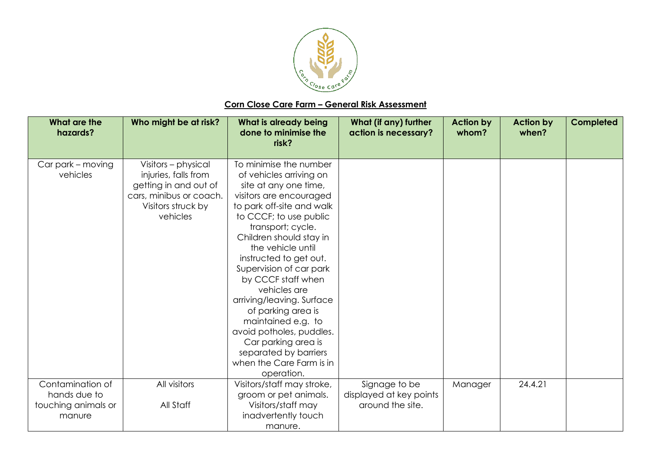

## **Corn Close Care Farm – General Risk Assessment**

| <b>What are the</b><br>hazards? | Who might be at risk?   | What is already being<br>done to minimise the<br>risk? | What (if any) further<br>action is necessary? | <b>Action by</b><br>whom? | <b>Action by</b><br>when? | <b>Completed</b> |
|---------------------------------|-------------------------|--------------------------------------------------------|-----------------------------------------------|---------------------------|---------------------------|------------------|
| Car park - moving               | Visitors - physical     | To minimise the number                                 |                                               |                           |                           |                  |
| vehicles                        | injuries, falls from    | of vehicles arriving on                                |                                               |                           |                           |                  |
|                                 | getting in and out of   | site at any one time,                                  |                                               |                           |                           |                  |
|                                 | cars, minibus or coach. | visitors are encouraged                                |                                               |                           |                           |                  |
|                                 | Visitors struck by      | to park off-site and walk                              |                                               |                           |                           |                  |
|                                 | vehicles                | to CCCF; to use public                                 |                                               |                           |                           |                  |
|                                 |                         | transport; cycle.                                      |                                               |                           |                           |                  |
|                                 |                         | Children should stay in                                |                                               |                           |                           |                  |
|                                 |                         | the vehicle until                                      |                                               |                           |                           |                  |
|                                 |                         | instructed to get out.                                 |                                               |                           |                           |                  |
|                                 |                         | Supervision of car park                                |                                               |                           |                           |                  |
|                                 |                         | by CCCF staff when                                     |                                               |                           |                           |                  |
|                                 |                         | vehicles are                                           |                                               |                           |                           |                  |
|                                 |                         | arriving/leaving. Surface                              |                                               |                           |                           |                  |
|                                 |                         | of parking area is                                     |                                               |                           |                           |                  |
|                                 |                         | maintained e.g. to                                     |                                               |                           |                           |                  |
|                                 |                         | avoid potholes, puddles.                               |                                               |                           |                           |                  |
|                                 |                         | Car parking area is                                    |                                               |                           |                           |                  |
|                                 |                         | separated by barriers                                  |                                               |                           |                           |                  |
|                                 |                         | when the Care Farm is in                               |                                               |                           |                           |                  |
|                                 |                         | operation.                                             |                                               |                           |                           |                  |
| Contamination of                | All visitors            | Visitors/staff may stroke,                             | Signage to be                                 | Manager                   | 24.4.21                   |                  |
| hands due to                    |                         | groom or pet animals.                                  | displayed at key points                       |                           |                           |                  |
| touching animals or             | All Staff               | Visitors/staff may                                     | around the site.                              |                           |                           |                  |
| manure                          |                         | inadvertently touch                                    |                                               |                           |                           |                  |
|                                 |                         | manure.                                                |                                               |                           |                           |                  |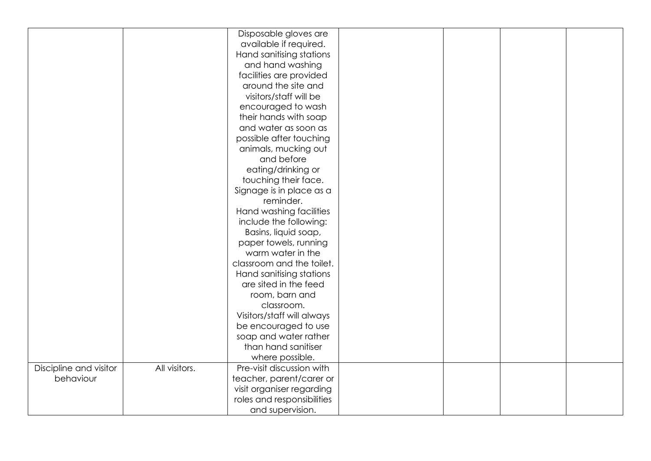|                        |               | Disposable gloves are      |  |  |
|------------------------|---------------|----------------------------|--|--|
|                        |               | available if required.     |  |  |
|                        |               | Hand sanitising stations   |  |  |
|                        |               | and hand washing           |  |  |
|                        |               | facilities are provided    |  |  |
|                        |               | around the site and        |  |  |
|                        |               | visitors/staff will be     |  |  |
|                        |               | encouraged to wash         |  |  |
|                        |               | their hands with soap      |  |  |
|                        |               | and water as soon as       |  |  |
|                        |               | possible after touching    |  |  |
|                        |               | animals, mucking out       |  |  |
|                        |               | and before                 |  |  |
|                        |               | eating/drinking or         |  |  |
|                        |               | touching their face.       |  |  |
|                        |               | Signage is in place as a   |  |  |
|                        |               | reminder.                  |  |  |
|                        |               | Hand washing facilities    |  |  |
|                        |               | include the following:     |  |  |
|                        |               | Basins, liquid soap,       |  |  |
|                        |               | paper towels, running      |  |  |
|                        |               | warm water in the          |  |  |
|                        |               | classroom and the toilet.  |  |  |
|                        |               | Hand sanitising stations   |  |  |
|                        |               | are sited in the feed      |  |  |
|                        |               | room, barn and             |  |  |
|                        |               | classroom.                 |  |  |
|                        |               | Visitors/staff will always |  |  |
|                        |               | be encouraged to use       |  |  |
|                        |               | soap and water rather      |  |  |
|                        |               | than hand sanitiser        |  |  |
|                        |               | where possible.            |  |  |
| Discipline and visitor | All visitors. | Pre-visit discussion with  |  |  |
| behaviour              |               | teacher, parent/carer or   |  |  |
|                        |               | visit organiser regarding  |  |  |
|                        |               | roles and responsibilities |  |  |
|                        |               | and supervision.           |  |  |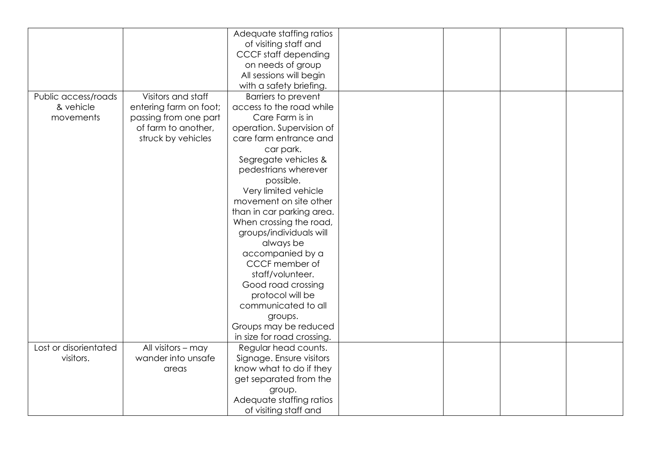|                       |                        | Adequate staffing ratios    |  |  |
|-----------------------|------------------------|-----------------------------|--|--|
|                       |                        | of visiting staff and       |  |  |
|                       |                        | <b>CCCF</b> staff depending |  |  |
|                       |                        | on needs of group           |  |  |
|                       |                        | All sessions will begin     |  |  |
|                       |                        |                             |  |  |
|                       |                        | with a safety briefing.     |  |  |
| Public access/roads   | Visitors and staff     | <b>Barriers to prevent</b>  |  |  |
| & vehicle             | entering farm on foot; | access to the road while    |  |  |
| movements             | passing from one part  | Care Farm is in             |  |  |
|                       | of farm to another,    | operation. Supervision of   |  |  |
|                       | struck by vehicles     | care farm entrance and      |  |  |
|                       |                        | car park.                   |  |  |
|                       |                        | Segregate vehicles &        |  |  |
|                       |                        | pedestrians wherever        |  |  |
|                       |                        | possible.                   |  |  |
|                       |                        | Very limited vehicle        |  |  |
|                       |                        | movement on site other      |  |  |
|                       |                        | than in car parking area.   |  |  |
|                       |                        | When crossing the road,     |  |  |
|                       |                        | groups/individuals will     |  |  |
|                       |                        | always be                   |  |  |
|                       |                        | accompanied by a            |  |  |
|                       |                        | CCCF member of              |  |  |
|                       |                        | staff/volunteer.            |  |  |
|                       |                        | Good road crossing          |  |  |
|                       |                        | protocol will be            |  |  |
|                       |                        | communicated to all         |  |  |
|                       |                        | groups.                     |  |  |
|                       |                        | Groups may be reduced       |  |  |
|                       |                        | in size for road crossing.  |  |  |
| Lost or disorientated | All visitors - may     | Regular head counts.        |  |  |
| visitors.             | wander into unsafe     |                             |  |  |
|                       |                        | Signage. Ensure visitors    |  |  |
|                       | areas                  | know what to do if they     |  |  |
|                       |                        | get separated from the      |  |  |
|                       |                        | group.                      |  |  |
|                       |                        | Adequate staffing ratios    |  |  |
|                       |                        | of visiting staff and       |  |  |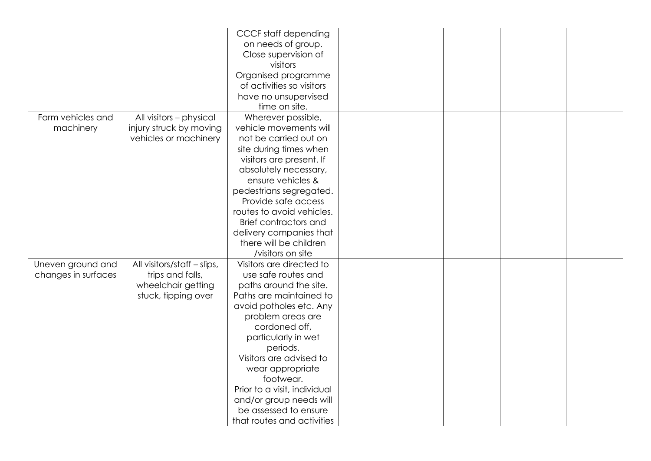|                     |                             | <b>CCCF</b> staff depending  |  |  |
|---------------------|-----------------------------|------------------------------|--|--|
|                     |                             | on needs of group.           |  |  |
|                     |                             | Close supervision of         |  |  |
|                     |                             | visitors                     |  |  |
|                     |                             | Organised programme          |  |  |
|                     |                             | of activities so visitors    |  |  |
|                     |                             | have no unsupervised         |  |  |
|                     |                             | time on site.                |  |  |
| Farm vehicles and   | All visitors - physical     | Wherever possible,           |  |  |
| machinery           | injury struck by moving     | vehicle movements will       |  |  |
|                     | vehicles or machinery       | not be carried out on        |  |  |
|                     |                             | site during times when       |  |  |
|                     |                             | visitors are present. If     |  |  |
|                     |                             | absolutely necessary,        |  |  |
|                     |                             | ensure vehicles &            |  |  |
|                     |                             | pedestrians segregated.      |  |  |
|                     |                             | Provide safe access          |  |  |
|                     |                             | routes to avoid vehicles.    |  |  |
|                     |                             | Brief contractors and        |  |  |
|                     |                             | delivery companies that      |  |  |
|                     |                             | there will be children       |  |  |
|                     |                             | /visitors on site            |  |  |
| Uneven ground and   | All visitors/staff - slips, | Visitors are directed to     |  |  |
| changes in surfaces | trips and falls,            | use safe routes and          |  |  |
|                     | wheelchair getting          | paths around the site.       |  |  |
|                     | stuck, tipping over         | Paths are maintained to      |  |  |
|                     |                             | avoid potholes etc. Any      |  |  |
|                     |                             | problem areas are            |  |  |
|                     |                             | cordoned off,                |  |  |
|                     |                             | particularly in wet          |  |  |
|                     |                             | periods.                     |  |  |
|                     |                             | Visitors are advised to      |  |  |
|                     |                             | wear appropriate             |  |  |
|                     |                             | footwear.                    |  |  |
|                     |                             | Prior to a visit, individual |  |  |
|                     |                             | and/or group needs will      |  |  |
|                     |                             | be assessed to ensure        |  |  |
|                     |                             | that routes and activities   |  |  |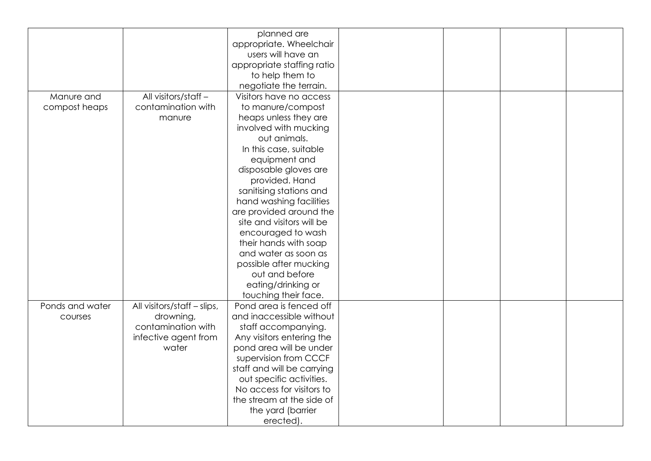|                 |                             | planned are                |  |  |
|-----------------|-----------------------------|----------------------------|--|--|
|                 |                             | appropriate. Wheelchair    |  |  |
|                 |                             | users will have an         |  |  |
|                 |                             | appropriate staffing ratio |  |  |
|                 |                             | to help them to            |  |  |
|                 |                             | negotiate the terrain.     |  |  |
| Manure and      | All visitors/staff-         | Visitors have no access    |  |  |
| compost heaps   | contamination with          | to manure/compost          |  |  |
|                 | manure                      | heaps unless they are      |  |  |
|                 |                             | involved with mucking      |  |  |
|                 |                             | out animals.               |  |  |
|                 |                             | In this case, suitable     |  |  |
|                 |                             | equipment and              |  |  |
|                 |                             | disposable gloves are      |  |  |
|                 |                             | provided. Hand             |  |  |
|                 |                             | sanitising stations and    |  |  |
|                 |                             | hand washing facilities    |  |  |
|                 |                             | are provided around the    |  |  |
|                 |                             | site and visitors will be  |  |  |
|                 |                             | encouraged to wash         |  |  |
|                 |                             | their hands with soap      |  |  |
|                 |                             | and water as soon as       |  |  |
|                 |                             | possible after mucking     |  |  |
|                 |                             | out and before             |  |  |
|                 |                             | eating/drinking or         |  |  |
|                 |                             | touching their face.       |  |  |
| Ponds and water | All visitors/staff - slips, | Pond area is fenced off    |  |  |
| courses         | drowning,                   | and inaccessible without   |  |  |
|                 | contamination with          | staff accompanying.        |  |  |
|                 | infective agent from        | Any visitors entering the  |  |  |
|                 | water                       | pond area will be under    |  |  |
|                 |                             | supervision from CCCF      |  |  |
|                 |                             | staff and will be carrying |  |  |
|                 |                             | out specific activities.   |  |  |
|                 |                             | No access for visitors to  |  |  |
|                 |                             | the stream at the side of  |  |  |
|                 |                             | the yard (barrier          |  |  |
|                 |                             | erected).                  |  |  |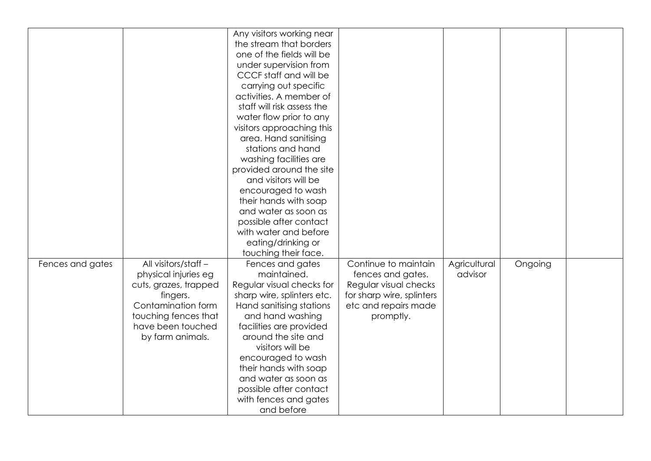|                  |                       | Any visitors working near  |                           |              |         |  |
|------------------|-----------------------|----------------------------|---------------------------|--------------|---------|--|
|                  |                       | the stream that borders    |                           |              |         |  |
|                  |                       | one of the fields will be  |                           |              |         |  |
|                  |                       | under supervision from     |                           |              |         |  |
|                  |                       | CCCF staff and will be     |                           |              |         |  |
|                  |                       | carrying out specific      |                           |              |         |  |
|                  |                       | activities. A member of    |                           |              |         |  |
|                  |                       | staff will risk assess the |                           |              |         |  |
|                  |                       | water flow prior to any    |                           |              |         |  |
|                  |                       | visitors approaching this  |                           |              |         |  |
|                  |                       | area. Hand sanitising      |                           |              |         |  |
|                  |                       | stations and hand          |                           |              |         |  |
|                  |                       | washing facilities are     |                           |              |         |  |
|                  |                       | provided around the site   |                           |              |         |  |
|                  |                       | and visitors will be       |                           |              |         |  |
|                  |                       | encouraged to wash         |                           |              |         |  |
|                  |                       | their hands with soap      |                           |              |         |  |
|                  |                       | and water as soon as       |                           |              |         |  |
|                  |                       | possible after contact     |                           |              |         |  |
|                  |                       | with water and before      |                           |              |         |  |
|                  |                       | eating/drinking or         |                           |              |         |  |
|                  |                       | touching their face.       |                           |              |         |  |
| Fences and gates | All visitors/staff-   | Fences and gates           | Continue to maintain      | Agricultural | Ongoing |  |
|                  | physical injuries eg  | maintained.                | fences and gates.         | advisor      |         |  |
|                  | cuts, grazes, trapped | Regular visual checks for  | Regular visual checks     |              |         |  |
|                  | fingers.              | sharp wire, splinters etc. | for sharp wire, splinters |              |         |  |
|                  | Contamination form    | Hand sanitising stations   | etc and repairs made      |              |         |  |
|                  | touching fences that  | and hand washing           | promptly.                 |              |         |  |
|                  | have been touched     | facilities are provided    |                           |              |         |  |
|                  | by farm animals.      | around the site and        |                           |              |         |  |
|                  |                       | visitors will be           |                           |              |         |  |
|                  |                       |                            |                           |              |         |  |
|                  |                       | encouraged to wash         |                           |              |         |  |
|                  |                       | their hands with soap      |                           |              |         |  |
|                  |                       | and water as soon as       |                           |              |         |  |
|                  |                       | possible after contact     |                           |              |         |  |
|                  |                       | with fences and gates      |                           |              |         |  |
|                  |                       | and before                 |                           |              |         |  |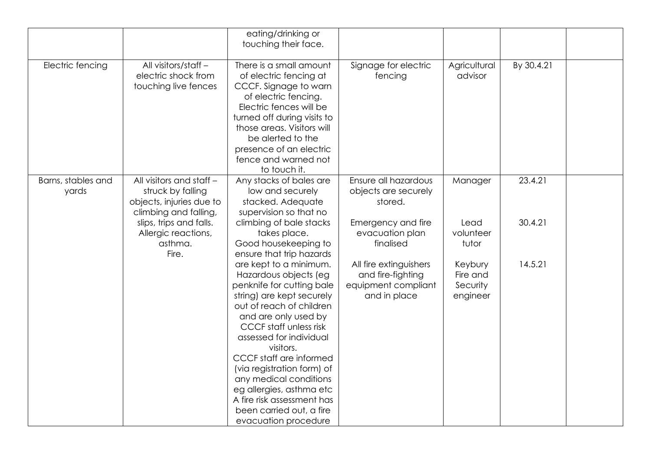|                             |                                                                                                    | eating/drinking or<br>touching their face.                                                                                                                                                                                                                                                                                                                                                                                              |                                                                                    |                                             |            |  |
|-----------------------------|----------------------------------------------------------------------------------------------------|-----------------------------------------------------------------------------------------------------------------------------------------------------------------------------------------------------------------------------------------------------------------------------------------------------------------------------------------------------------------------------------------------------------------------------------------|------------------------------------------------------------------------------------|---------------------------------------------|------------|--|
| Electric fencing            | All visitors/staff -<br>electric shock from<br>touching live fences                                | There is a small amount<br>of electric fencing at<br>CCCF. Signage to warn<br>of electric fencing.<br>Electric fences will be<br>turned off during visits to<br>those areas. Visitors will<br>be alerted to the<br>presence of an electric<br>fence and warned not<br>to touch it.                                                                                                                                                      | Signage for electric<br>fencing                                                    | Agricultural<br>advisor                     | By 30.4.21 |  |
| Barns, stables and<br>yards | All visitors and staff -<br>struck by falling<br>objects, injuries due to<br>climbing and falling, | Any stacks of bales are<br>low and securely<br>stacked. Adequate<br>supervision so that no                                                                                                                                                                                                                                                                                                                                              | Ensure all hazardous<br>objects are securely<br>stored.                            | Manager                                     | 23.4.21    |  |
|                             | slips, trips and falls.<br>Allergic reactions,<br>asthma.<br>Fire.                                 | climbing of bale stacks<br>takes place.<br>Good housekeeping to<br>ensure that trip hazards                                                                                                                                                                                                                                                                                                                                             | Emergency and fire<br>evacuation plan<br>finalised                                 | Lead<br>volunteer<br>tutor                  | 30.4.21    |  |
|                             |                                                                                                    | are kept to a minimum.<br>Hazardous objects (eg<br>penknife for cutting bale<br>string) are kept securely<br>out of reach of children<br>and are only used by<br><b>CCCF</b> staff unless risk<br>assessed for individual<br>visitors.<br>CCCF staff are informed<br>(via registration form) of<br>any medical conditions<br>eg allergies, asthma etc<br>A fire risk assessment has<br>been carried out, a fire<br>evacuation procedure | All fire extinguishers<br>and fire-fighting<br>equipment compliant<br>and in place | Keybury<br>Fire and<br>Security<br>engineer | 14.5.21    |  |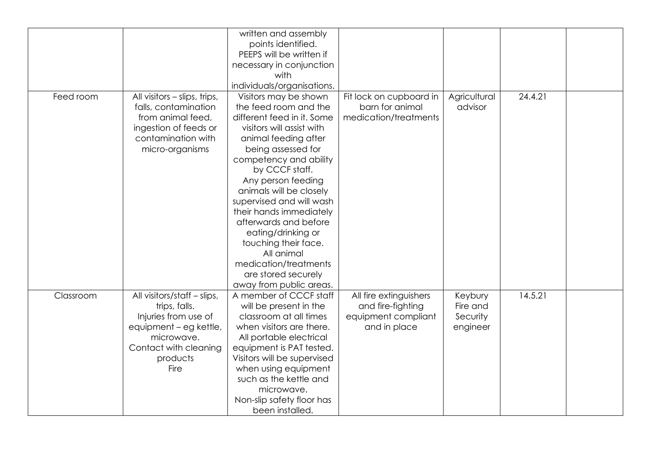|           |                              | written and assembly        |                         |              |         |  |
|-----------|------------------------------|-----------------------------|-------------------------|--------------|---------|--|
|           |                              | points identified.          |                         |              |         |  |
|           |                              | PEEPS will be written if    |                         |              |         |  |
|           |                              |                             |                         |              |         |  |
|           |                              | necessary in conjunction    |                         |              |         |  |
|           |                              | with                        |                         |              |         |  |
|           |                              | individuals/organisations.  |                         |              |         |  |
| Feed room | All visitors - slips, trips, | Visitors may be shown       | Fit lock on cupboard in | Agricultural | 24.4.21 |  |
|           | falls, contamination         | the feed room and the       | barn for animal         | advisor      |         |  |
|           | from animal feed,            | different feed in it. Some  | medication/treatments   |              |         |  |
|           | ingestion of feeds or        | visitors will assist with   |                         |              |         |  |
|           | contamination with           | animal feeding after        |                         |              |         |  |
|           | micro-organisms              | being assessed for          |                         |              |         |  |
|           |                              | competency and ability      |                         |              |         |  |
|           |                              | by CCCF staff.              |                         |              |         |  |
|           |                              | Any person feeding          |                         |              |         |  |
|           |                              | animals will be closely     |                         |              |         |  |
|           |                              | supervised and will wash    |                         |              |         |  |
|           |                              | their hands immediately     |                         |              |         |  |
|           |                              | afterwards and before       |                         |              |         |  |
|           |                              | eating/drinking or          |                         |              |         |  |
|           |                              | touching their face.        |                         |              |         |  |
|           |                              | All animal                  |                         |              |         |  |
|           |                              | medication/treatments       |                         |              |         |  |
|           |                              | are stored securely         |                         |              |         |  |
|           |                              | away from public areas.     |                         |              |         |  |
| Classroom | All visitors/staff - slips,  | A member of CCCF staff      |                         |              | 14.5.21 |  |
|           |                              |                             | All fire extinguishers  | Keybury      |         |  |
|           | trips, falls.                | will be present in the      | and fire-fighting       | Fire and     |         |  |
|           | Injuries from use of         | classroom at all times      | equipment compliant     | Security     |         |  |
|           | equipment - eg kettle,       | when visitors are there.    | and in place            | engineer     |         |  |
|           | microwave.                   | All portable electrical     |                         |              |         |  |
|           | Contact with cleaning        | equipment is PAT tested.    |                         |              |         |  |
|           | products                     | Visitors will be supervised |                         |              |         |  |
|           | Fire                         | when using equipment        |                         |              |         |  |
|           |                              | such as the kettle and      |                         |              |         |  |
|           |                              | microwave.                  |                         |              |         |  |
|           |                              | Non-slip safety floor has   |                         |              |         |  |
|           |                              | been installed.             |                         |              |         |  |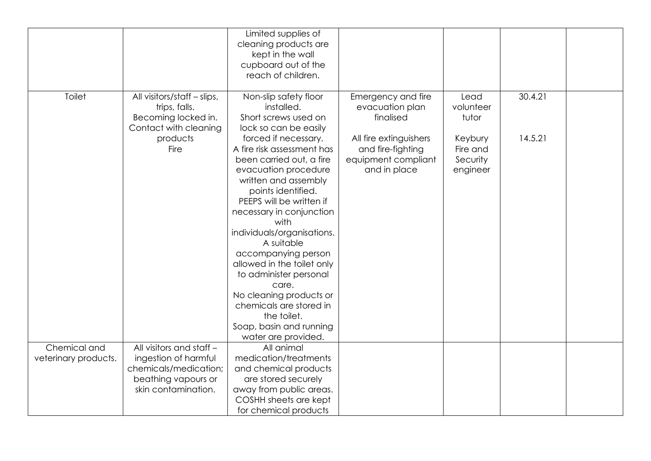|                                      |                                                                                              | Limited supplies of<br>cleaning products are<br>kept in the wall<br>cupboard out of the<br>reach of children.                                                                                                                                                                                                                                                                                                                                                                   |                                                                                    |                                             |         |  |
|--------------------------------------|----------------------------------------------------------------------------------------------|---------------------------------------------------------------------------------------------------------------------------------------------------------------------------------------------------------------------------------------------------------------------------------------------------------------------------------------------------------------------------------------------------------------------------------------------------------------------------------|------------------------------------------------------------------------------------|---------------------------------------------|---------|--|
| <b>Toilet</b>                        | All visitors/staff - slips,<br>trips, falls.<br>Becoming locked in.<br>Contact with cleaning | Non-slip safety floor<br>installed.<br>Short screws used on<br>lock so can be easily                                                                                                                                                                                                                                                                                                                                                                                            | Emergency and fire<br>evacuation plan<br>finalised                                 | Lead<br>volunteer<br>tutor                  | 30.4.21 |  |
|                                      | products<br>Fire                                                                             | forced if necessary.<br>A fire risk assessment has<br>been carried out, a fire<br>evacuation procedure<br>written and assembly<br>points identified.<br>PEEPS will be written if<br>necessary in conjunction<br>with<br>individuals/organisations.<br>A suitable<br>accompanying person<br>allowed in the toilet only<br>to administer personal<br>care.<br>No cleaning products or<br>chemicals are stored in<br>the toilet.<br>Soap, basin and running<br>water are provided. | All fire extinguishers<br>and fire-fighting<br>equipment compliant<br>and in place | Keybury<br>Fire and<br>Security<br>engineer | 14.5.21 |  |
| Chemical and<br>veterinary products. | All visitors and staff -<br>ingestion of harmful<br>chemicals/medication;                    | All animal<br>medication/treatments<br>and chemical products                                                                                                                                                                                                                                                                                                                                                                                                                    |                                                                                    |                                             |         |  |
|                                      | beathing vapours or<br>skin contamination.                                                   | are stored securely<br>away from public areas.<br>COSHH sheets are kept<br>for chemical products                                                                                                                                                                                                                                                                                                                                                                                |                                                                                    |                                             |         |  |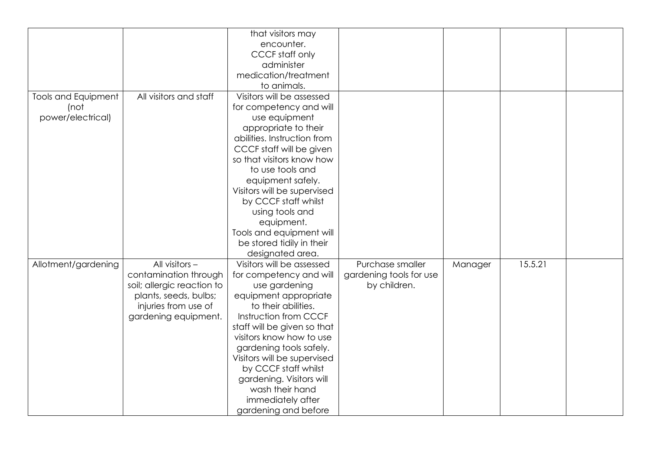|                            |                            | that visitors may           |                         |         |         |  |
|----------------------------|----------------------------|-----------------------------|-------------------------|---------|---------|--|
|                            |                            | encounter.                  |                         |         |         |  |
|                            |                            | <b>CCCF</b> staff only      |                         |         |         |  |
|                            |                            | administer                  |                         |         |         |  |
|                            |                            | medication/treatment        |                         |         |         |  |
|                            |                            | to animals.                 |                         |         |         |  |
|                            | All visitors and staff     | Visitors will be assessed   |                         |         |         |  |
| <b>Tools and Equipment</b> |                            |                             |                         |         |         |  |
| (not                       |                            | for competency and will     |                         |         |         |  |
| power/electrical)          |                            | use equipment               |                         |         |         |  |
|                            |                            | appropriate to their        |                         |         |         |  |
|                            |                            | abilities. Instruction from |                         |         |         |  |
|                            |                            | CCCF staff will be given    |                         |         |         |  |
|                            |                            | so that visitors know how   |                         |         |         |  |
|                            |                            | to use tools and            |                         |         |         |  |
|                            |                            | equipment safely.           |                         |         |         |  |
|                            |                            | Visitors will be supervised |                         |         |         |  |
|                            |                            | by CCCF staff whilst        |                         |         |         |  |
|                            |                            | using tools and             |                         |         |         |  |
|                            |                            | equipment.                  |                         |         |         |  |
|                            |                            | Tools and equipment will    |                         |         |         |  |
|                            |                            | be stored tidily in their   |                         |         |         |  |
|                            |                            | designated area.            |                         |         |         |  |
| Allotment/gardening        | All visitors $-$           | Visitors will be assessed   | Purchase smaller        | Manager | 15.5.21 |  |
|                            | contamination through      | for competency and will     | gardening tools for use |         |         |  |
|                            | soil; allergic reaction to | use gardening               | by children.            |         |         |  |
|                            | plants, seeds, bulbs;      | equipment appropriate       |                         |         |         |  |
|                            | injuries from use of       | to their abilities.         |                         |         |         |  |
|                            | gardening equipment.       | Instruction from CCCF       |                         |         |         |  |
|                            |                            | staff will be given so that |                         |         |         |  |
|                            |                            | visitors know how to use    |                         |         |         |  |
|                            |                            | gardening tools safely.     |                         |         |         |  |
|                            |                            | Visitors will be supervised |                         |         |         |  |
|                            |                            | by CCCF staff whilst        |                         |         |         |  |
|                            |                            | gardening. Visitors will    |                         |         |         |  |
|                            |                            | wash their hand             |                         |         |         |  |
|                            |                            | immediately after           |                         |         |         |  |
|                            |                            | gardening and before        |                         |         |         |  |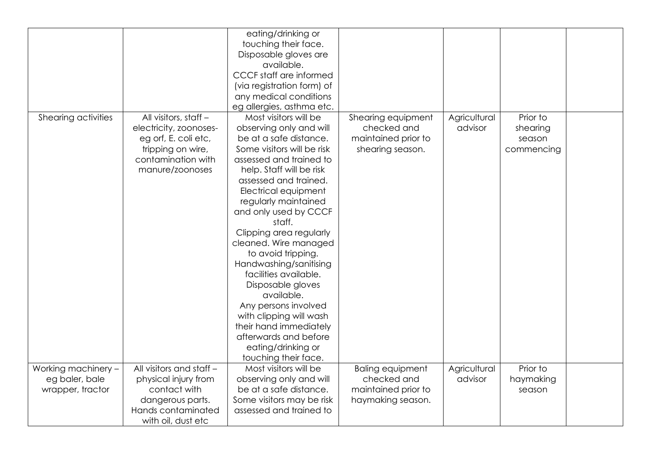|                                                           |                                                                                                                                       | eating/drinking or<br>touching their face.<br>Disposable gloves are<br>available.<br>CCCF staff are informed<br>(via registration form) of<br>any medical conditions<br>eg allergies, asthma etc.                                                                                                                                                                                                                                                                                                                                                                                               |                                                                                    |                         |                                              |  |
|-----------------------------------------------------------|---------------------------------------------------------------------------------------------------------------------------------------|-------------------------------------------------------------------------------------------------------------------------------------------------------------------------------------------------------------------------------------------------------------------------------------------------------------------------------------------------------------------------------------------------------------------------------------------------------------------------------------------------------------------------------------------------------------------------------------------------|------------------------------------------------------------------------------------|-------------------------|----------------------------------------------|--|
| Shearing activities                                       | All visitors, staff -<br>electricity, zoonoses-<br>eg orf, E. coli etc,<br>tripping on wire,<br>contamination with<br>manure/zoonoses | Most visitors will be<br>observing only and will<br>be at a safe distance.<br>Some visitors will be risk<br>assessed and trained to<br>help. Staff will be risk<br>assessed and trained.<br>Electrical equipment<br>regularly maintained<br>and only used by CCCF<br>staff.<br>Clipping area regularly<br>cleaned. Wire managed<br>to avoid tripping.<br>Handwashing/sanitising<br>facilities available.<br>Disposable gloves<br>available.<br>Any persons involved<br>with clipping will wash<br>their hand immediately<br>afterwards and before<br>eating/drinking or<br>touching their face. | Shearing equipment<br>checked and<br>maintained prior to<br>shearing season.       | Agricultural<br>advisor | Prior to<br>shearing<br>season<br>commencing |  |
| Working machinery -<br>eg baler, bale<br>wrapper, tractor | All visitors and staff -<br>physical injury from<br>contact with<br>dangerous parts.<br>Hands contaminated<br>with oil, dust etc      | Most visitors will be<br>observing only and will<br>be at a safe distance.<br>Some visitors may be risk<br>assessed and trained to                                                                                                                                                                                                                                                                                                                                                                                                                                                              | <b>Baling equipment</b><br>checked and<br>maintained prior to<br>haymaking season. | Agricultural<br>advisor | Prior to<br>haymaking<br>season              |  |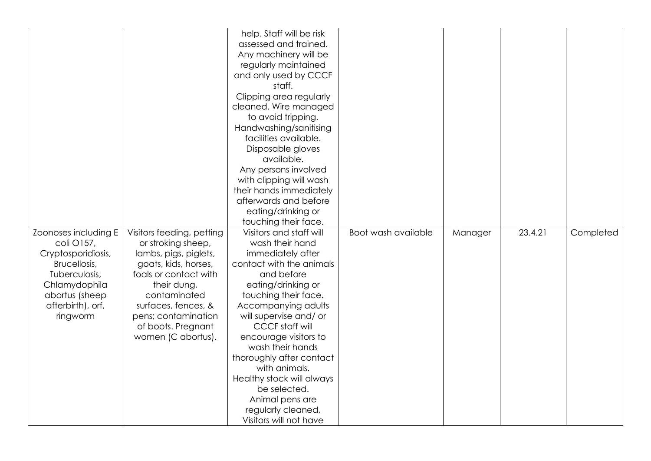|                      |                           | help. Staff will be risk  |                     |         |         |           |
|----------------------|---------------------------|---------------------------|---------------------|---------|---------|-----------|
|                      |                           | assessed and trained.     |                     |         |         |           |
|                      |                           | Any machinery will be     |                     |         |         |           |
|                      |                           | regularly maintained      |                     |         |         |           |
|                      |                           | and only used by CCCF     |                     |         |         |           |
|                      |                           | staff.                    |                     |         |         |           |
|                      |                           | Clipping area regularly   |                     |         |         |           |
|                      |                           | cleaned. Wire managed     |                     |         |         |           |
|                      |                           | to avoid tripping.        |                     |         |         |           |
|                      |                           | Handwashing/sanitising    |                     |         |         |           |
|                      |                           | facilities available.     |                     |         |         |           |
|                      |                           | Disposable gloves         |                     |         |         |           |
|                      |                           | available.                |                     |         |         |           |
|                      |                           | Any persons involved      |                     |         |         |           |
|                      |                           | with clipping will wash   |                     |         |         |           |
|                      |                           | their hands immediately   |                     |         |         |           |
|                      |                           | afterwards and before     |                     |         |         |           |
|                      |                           | eating/drinking or        |                     |         |         |           |
|                      |                           | touching their face.      |                     |         |         |           |
| Zoonoses including E | Visitors feeding, petting | Visitors and staff will   | Boot wash available | Manager | 23.4.21 | Completed |
| coli O157,           | or stroking sheep,        | wash their hand           |                     |         |         |           |
|                      |                           |                           |                     |         |         |           |
| Cryptosporidiosis,   | lambs, pigs, piglets,     | immediately after         |                     |         |         |           |
| Brucellosis,         | goats, kids, horses,      | contact with the animals  |                     |         |         |           |
| Tuberculosis,        | foals or contact with     | and before                |                     |         |         |           |
| Chlamydophila        | their dung,               | eating/drinking or        |                     |         |         |           |
| abortus (sheep       | contaminated              | touching their face.      |                     |         |         |           |
| afterbirth), orf,    | surfaces, fences, &       | Accompanying adults       |                     |         |         |           |
| ringworm             | pens; contamination       | will supervise and/ or    |                     |         |         |           |
|                      | of boots. Pregnant        | <b>CCCF</b> staff will    |                     |         |         |           |
|                      | women (C abortus).        | encourage visitors to     |                     |         |         |           |
|                      |                           | wash their hands          |                     |         |         |           |
|                      |                           | thoroughly after contact  |                     |         |         |           |
|                      |                           | with animals.             |                     |         |         |           |
|                      |                           | Healthy stock will always |                     |         |         |           |
|                      |                           | be selected.              |                     |         |         |           |
|                      |                           | Animal pens are           |                     |         |         |           |
|                      |                           | regularly cleaned,        |                     |         |         |           |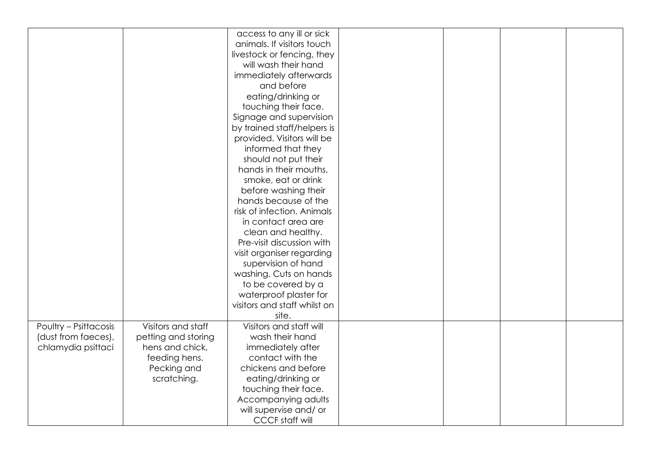|                              |                     | access to any ill or sick    |  |  |
|------------------------------|---------------------|------------------------------|--|--|
|                              |                     | animals. If visitors touch   |  |  |
|                              |                     | livestock or fencing, they   |  |  |
|                              |                     | will wash their hand         |  |  |
|                              |                     | immediately afterwards       |  |  |
|                              |                     | and before                   |  |  |
|                              |                     | eating/drinking or           |  |  |
|                              |                     | touching their face.         |  |  |
|                              |                     | Signage and supervision      |  |  |
|                              |                     | by trained staff/helpers is  |  |  |
|                              |                     | provided. Visitors will be   |  |  |
|                              |                     | informed that they           |  |  |
|                              |                     | should not put their         |  |  |
|                              |                     | hands in their mouths,       |  |  |
|                              |                     | smoke, eat or drink          |  |  |
|                              |                     | before washing their         |  |  |
|                              |                     | hands because of the         |  |  |
|                              |                     | risk of infection. Animals   |  |  |
|                              |                     | in contact area are          |  |  |
|                              |                     | clean and healthy.           |  |  |
|                              |                     | Pre-visit discussion with    |  |  |
|                              |                     | visit organiser regarding    |  |  |
|                              |                     | supervision of hand          |  |  |
|                              |                     | washing. Cuts on hands       |  |  |
|                              |                     | to be covered by a           |  |  |
|                              |                     | waterproof plaster for       |  |  |
|                              |                     | visitors and staff whilst on |  |  |
|                              |                     | site.                        |  |  |
| <b>Poultry - Psittacosis</b> | Visitors and staff  | Visitors and staff will      |  |  |
| (dust from faeces),          | petting and storing | wash their hand              |  |  |
| chlamydia psittaci           | hens and chick,     | immediately after            |  |  |
|                              | feeding hens.       | contact with the             |  |  |
|                              | Pecking and         | chickens and before          |  |  |
|                              | scratching.         | eating/drinking or           |  |  |
|                              |                     | touching their face.         |  |  |
|                              |                     | Accompanying adults          |  |  |
|                              |                     | will supervise and/ or       |  |  |
|                              |                     | <b>CCCF</b> staff will       |  |  |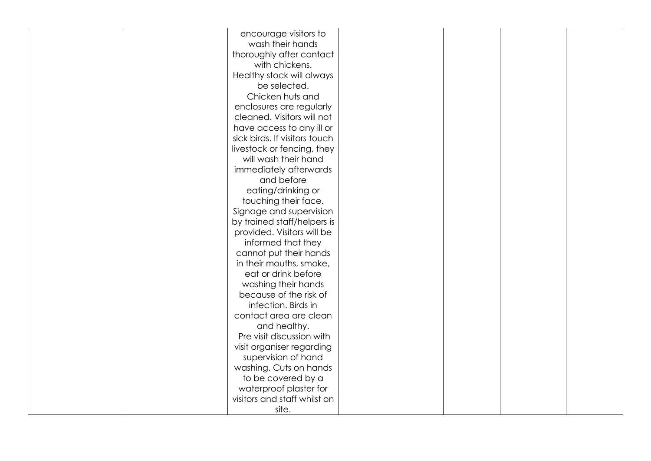|  | encourage visitors to<br>wash their hands |  |  |
|--|-------------------------------------------|--|--|
|  |                                           |  |  |
|  | thoroughly after contact                  |  |  |
|  | with chickens.                            |  |  |
|  | Healthy stock will always                 |  |  |
|  | be selected.                              |  |  |
|  | Chicken huts and                          |  |  |
|  | enclosures are regularly                  |  |  |
|  | cleaned. Visitors will not                |  |  |
|  | have access to any ill or                 |  |  |
|  | sick birds. If visitors touch             |  |  |
|  | livestock or fencing, they                |  |  |
|  | will wash their hand                      |  |  |
|  | immediately afterwards                    |  |  |
|  | and before                                |  |  |
|  | eating/drinking or                        |  |  |
|  | touching their face.                      |  |  |
|  | Signage and supervision                   |  |  |
|  | by trained staff/helpers is               |  |  |
|  | provided. Visitors will be                |  |  |
|  | informed that they                        |  |  |
|  | cannot put their hands                    |  |  |
|  | in their mouths, smoke,                   |  |  |
|  | eat or drink before                       |  |  |
|  | washing their hands                       |  |  |
|  | because of the risk of                    |  |  |
|  | infection. Birds in                       |  |  |
|  | contact area are clean                    |  |  |
|  | and healthy.                              |  |  |
|  | Pre visit discussion with                 |  |  |
|  | visit organiser regarding                 |  |  |
|  | supervision of hand                       |  |  |
|  | washing. Cuts on hands                    |  |  |
|  | to be covered by a                        |  |  |
|  | waterproof plaster for                    |  |  |
|  | visitors and staff whilst on              |  |  |
|  | site.                                     |  |  |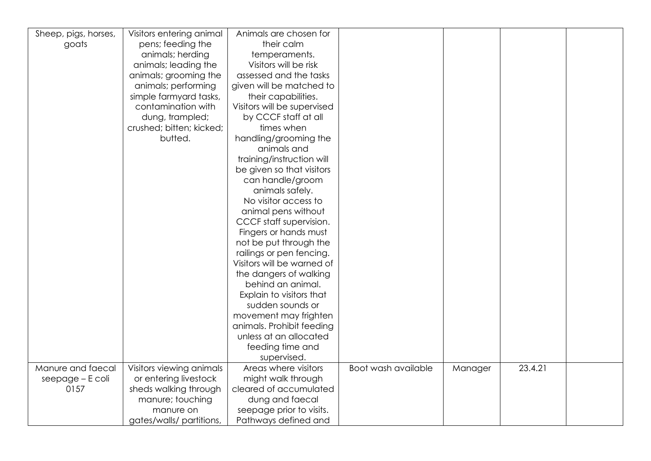| Sheep, pigs, horses, | Visitors entering animal | Animals are chosen for      |                     |         |         |  |
|----------------------|--------------------------|-----------------------------|---------------------|---------|---------|--|
| goats                | pens; feeding the        | their calm                  |                     |         |         |  |
|                      | animals; herding         | temperaments.               |                     |         |         |  |
|                      | animals; leading the     | Visitors will be risk       |                     |         |         |  |
|                      | animals; grooming the    | assessed and the tasks      |                     |         |         |  |
|                      | animals; performing      | given will be matched to    |                     |         |         |  |
|                      |                          |                             |                     |         |         |  |
|                      | simple farmyard tasks,   | their capabilities.         |                     |         |         |  |
|                      | contamination with       | Visitors will be supervised |                     |         |         |  |
|                      | dung, trampled;          | by CCCF staff at all        |                     |         |         |  |
|                      | crushed; bitten; kicked; | times when                  |                     |         |         |  |
|                      | butted.                  | handling/grooming the       |                     |         |         |  |
|                      |                          | animals and                 |                     |         |         |  |
|                      |                          | training/instruction will   |                     |         |         |  |
|                      |                          | be given so that visitors   |                     |         |         |  |
|                      |                          | can handle/groom            |                     |         |         |  |
|                      |                          | animals safely.             |                     |         |         |  |
|                      |                          | No visitor access to        |                     |         |         |  |
|                      |                          | animal pens without         |                     |         |         |  |
|                      |                          | CCCF staff supervision.     |                     |         |         |  |
|                      |                          | Fingers or hands must       |                     |         |         |  |
|                      |                          | not be put through the      |                     |         |         |  |
|                      |                          | railings or pen fencing.    |                     |         |         |  |
|                      |                          | Visitors will be warned of  |                     |         |         |  |
|                      |                          | the dangers of walking      |                     |         |         |  |
|                      |                          | behind an animal.           |                     |         |         |  |
|                      |                          | Explain to visitors that    |                     |         |         |  |
|                      |                          | sudden sounds or            |                     |         |         |  |
|                      |                          | movement may frighten       |                     |         |         |  |
|                      |                          | animals. Prohibit feeding   |                     |         |         |  |
|                      |                          | unless at an allocated      |                     |         |         |  |
|                      |                          | feeding time and            |                     |         |         |  |
|                      |                          | supervised.                 |                     |         |         |  |
| Manure and faecal    | Visitors viewing animals | Areas where visitors        | Boot wash available |         | 23.4.21 |  |
|                      |                          |                             |                     | Manager |         |  |
| seepage - E coli     | or entering livestock    | might walk through          |                     |         |         |  |
| 0157                 | sheds walking through    | cleared of accumulated      |                     |         |         |  |
|                      | manure; touching         | dung and faecal             |                     |         |         |  |
|                      | manure on                | seepage prior to visits.    |                     |         |         |  |
|                      | gates/walls/ partitions, | Pathways defined and        |                     |         |         |  |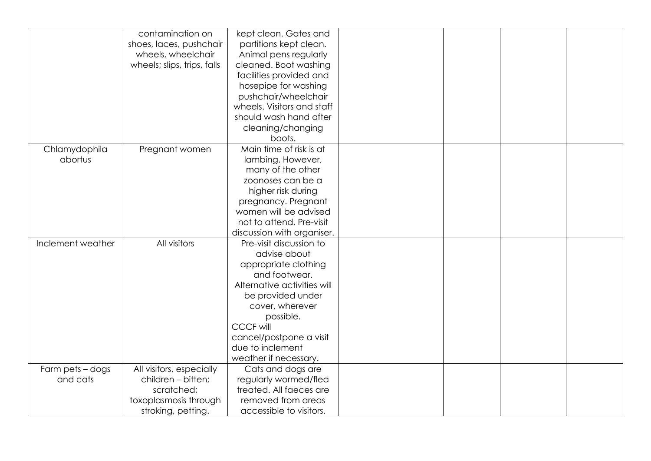|                   | contamination on            | kept clean. Gates and       |  |  |
|-------------------|-----------------------------|-----------------------------|--|--|
|                   | shoes, laces, pushchair     | partitions kept clean.      |  |  |
|                   | wheels, wheelchair          | Animal pens regularly       |  |  |
|                   | wheels; slips, trips, falls | cleaned. Boot washing       |  |  |
|                   |                             |                             |  |  |
|                   |                             | facilities provided and     |  |  |
|                   |                             | hosepipe for washing        |  |  |
|                   |                             | pushchair/wheelchair        |  |  |
|                   |                             | wheels. Visitors and staff  |  |  |
|                   |                             | should wash hand after      |  |  |
|                   |                             | cleaning/changing           |  |  |
|                   |                             | boots.                      |  |  |
| Chlamydophila     | Pregnant women              | Main time of risk is at     |  |  |
| abortus           |                             | lambing, However,           |  |  |
|                   |                             | many of the other           |  |  |
|                   |                             | zoonoses can be a           |  |  |
|                   |                             | higher risk during          |  |  |
|                   |                             | pregnancy. Pregnant         |  |  |
|                   |                             | women will be advised       |  |  |
|                   |                             | not to attend. Pre-visit    |  |  |
|                   |                             | discussion with organiser.  |  |  |
| Inclement weather | All visitors                | Pre-visit discussion to     |  |  |
|                   |                             | advise about                |  |  |
|                   |                             | appropriate clothing        |  |  |
|                   |                             | and footwear.               |  |  |
|                   |                             | Alternative activities will |  |  |
|                   |                             | be provided under           |  |  |
|                   |                             | cover, wherever             |  |  |
|                   |                             | possible.                   |  |  |
|                   |                             | <b>CCCF will</b>            |  |  |
|                   |                             | cancel/postpone a visit     |  |  |
|                   |                             | due to inclement            |  |  |
|                   |                             | weather if necessary.       |  |  |
| Farm pets - dogs  | All visitors, especially    | Cats and dogs are           |  |  |
| and cats          | children - bitten;          | regularly wormed/flea       |  |  |
|                   | scratched;                  | treated. All faeces are     |  |  |
|                   |                             |                             |  |  |
|                   | toxoplasmosis through       | removed from areas          |  |  |
|                   | stroking, petting.          | accessible to visitors.     |  |  |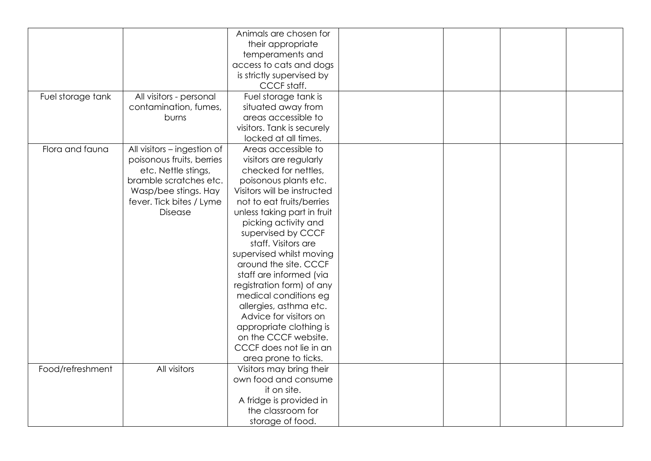|                   |                             | Animals are chosen for      |  |  |
|-------------------|-----------------------------|-----------------------------|--|--|
|                   |                             | their appropriate           |  |  |
|                   |                             | temperaments and            |  |  |
|                   |                             | access to cats and dogs     |  |  |
|                   |                             | is strictly supervised by   |  |  |
|                   |                             | CCCF staff.                 |  |  |
| Fuel storage tank | All visitors - personal     | Fuel storage tank is        |  |  |
|                   | contamination, fumes,       | situated away from          |  |  |
|                   | burns                       | areas accessible to         |  |  |
|                   |                             | visitors. Tank is securely  |  |  |
|                   |                             | locked at all times.        |  |  |
| Flora and fauna   | All visitors - ingestion of | Areas accessible to         |  |  |
|                   | poisonous fruits, berries   | visitors are regularly      |  |  |
|                   | etc. Nettle stings,         | checked for nettles,        |  |  |
|                   | bramble scratches etc.      | poisonous plants etc.       |  |  |
|                   | Wasp/bee stings. Hay        | Visitors will be instructed |  |  |
|                   | fever. Tick bites / Lyme    | not to eat fruits/berries   |  |  |
|                   | Disease                     | unless taking part in fruit |  |  |
|                   |                             | picking activity and        |  |  |
|                   |                             | supervised by CCCF          |  |  |
|                   |                             | staff. Visitors are         |  |  |
|                   |                             | supervised whilst moving    |  |  |
|                   |                             | around the site. CCCF       |  |  |
|                   |                             |                             |  |  |
|                   |                             | staff are informed (via     |  |  |
|                   |                             | registration form) of any   |  |  |
|                   |                             | medical conditions eg       |  |  |
|                   |                             | allergies, asthma etc.      |  |  |
|                   |                             | Advice for visitors on      |  |  |
|                   |                             | appropriate clothing is     |  |  |
|                   |                             | on the CCCF website.        |  |  |
|                   |                             | CCCF does not lie in an     |  |  |
|                   |                             | area prone to ticks.        |  |  |
| Food/refreshment  | All visitors                | Visitors may bring their    |  |  |
|                   |                             | own food and consume        |  |  |
|                   |                             | it on site.                 |  |  |
|                   |                             | A fridge is provided in     |  |  |
|                   |                             | the classroom for           |  |  |
|                   |                             | storage of food.            |  |  |